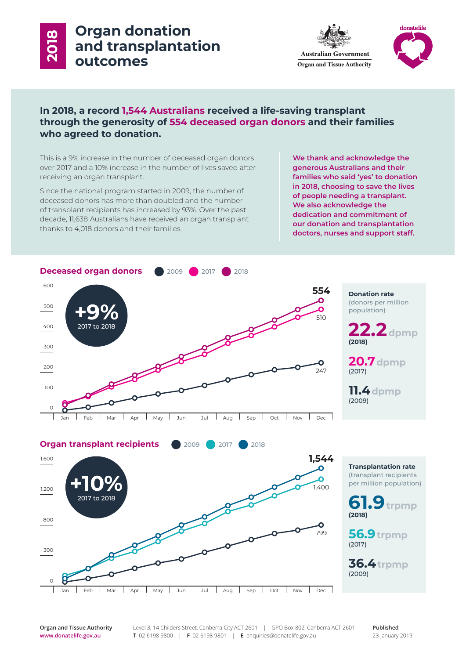# **Organ donation and transplantation 2018 outcomes**





# **In 2018, a record 1,544 Australians received a life-saving transplant through the generosity of 554 deceased organ donors and their families who agreed to donation.**

This is a 9% increase in the number of deceased organ donors over 2017 and a 10% increase in the number of lives saved after receiving an organ transplant.

Since the national program started in 2009, the number of deceased donors has more than doubled and the number of transplant recipients has increased by 93%. Over the past decade, 11,638 Australians have received an organ transplant thanks to 4,018 donors and their families.

**We thank and acknowledge the generous Australians and their families who said 'yes' to donation in 2018, choosing to save the lives of people needing a transplant. We also acknowledge the dedication and commitment of our donation and transplantation doctors, nurses and support staff.**